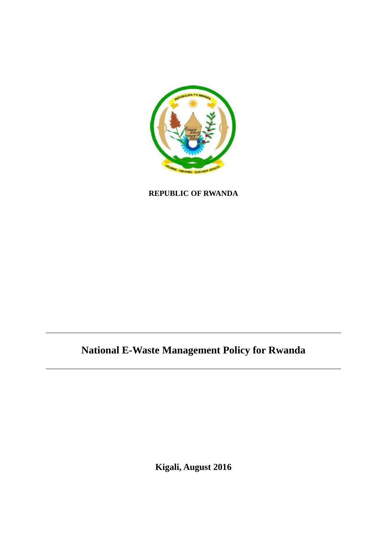

**REPUBLIC OF RWANDA**

# **National E-Waste Management Policy for Rwanda**

**Kigali, August 2016**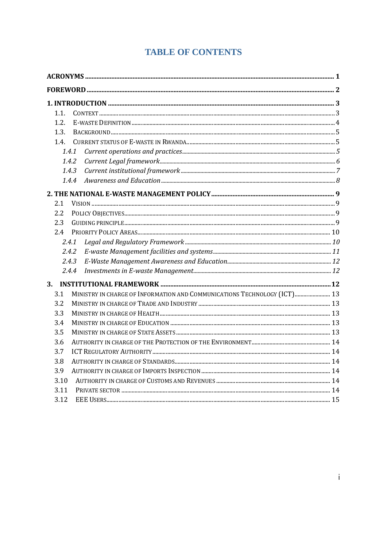## **TABLE OF CONTENTS**

| 1.1.                                                                            |  |
|---------------------------------------------------------------------------------|--|
| 1.2.                                                                            |  |
| 1.3.                                                                            |  |
| 1.4.                                                                            |  |
| 1.4.1                                                                           |  |
| 1.4.2                                                                           |  |
| 1.4.3                                                                           |  |
| 1.4.4                                                                           |  |
|                                                                                 |  |
| 2.1                                                                             |  |
| 2.2                                                                             |  |
| 2.3                                                                             |  |
| 2.4                                                                             |  |
| 2.4.1                                                                           |  |
| 2.4.2                                                                           |  |
| 2.4.3                                                                           |  |
| 2.4.4                                                                           |  |
| 3.                                                                              |  |
| MINISTRY IN CHARGE OF INFORMATION AND COMMUNICATIONS TECHNOLOGY (ICT) 13<br>3.1 |  |
| 3.2                                                                             |  |
| 3.3                                                                             |  |
| 3.4                                                                             |  |
| 3.5                                                                             |  |
| 3.6                                                                             |  |
| 3.7                                                                             |  |
| 3.8                                                                             |  |
| 3.9                                                                             |  |
| 3.10                                                                            |  |
| 3.11                                                                            |  |
| 3.12                                                                            |  |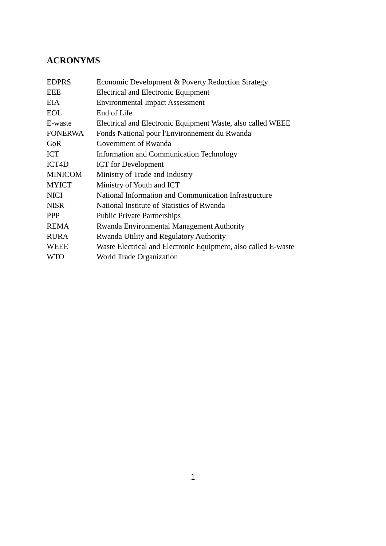## **ACRONYMS**

| <b>EDPRS</b>   | Economic Development & Poverty Reduction Strategy              |
|----------------|----------------------------------------------------------------|
| <b>EEE</b>     | <b>Electrical and Electronic Equipment</b>                     |
| <b>EIA</b>     | <b>Environmental Impact Assessment</b>                         |
| <b>EOL</b>     | End of Life                                                    |
| E-waste        | Electrical and Electronic Equipment Waste, also called WEEE    |
| <b>FONERWA</b> | Fonds National pour l'Environnement du Rwanda                  |
| GoR            | Government of Rwanda                                           |
| <b>ICT</b>     | <b>Information and Communication Technology</b>                |
| ICT4D          | <b>ICT</b> for Development                                     |
| <b>MINICOM</b> | Ministry of Trade and Industry                                 |
| <b>MYICT</b>   | Ministry of Youth and ICT                                      |
| <b>NICI</b>    | National Information and Communication Infrastructure          |
| <b>NISR</b>    | National Institute of Statistics of Rwanda                     |
| <b>PPP</b>     | <b>Public Private Partnerships</b>                             |
| <b>REMA</b>    | Rwanda Environmental Management Authority                      |
| <b>RURA</b>    | Rwanda Utility and Regulatory Authority                        |
| <b>WEEE</b>    | Waste Electrical and Electronic Equipment, also called E-waste |
| <b>WTO</b>     | World Trade Organization                                       |
|                |                                                                |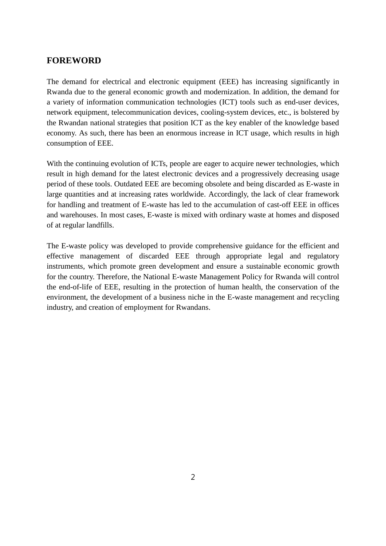## **FOREWORD**

The demand for electrical and electronic equipment (EEE) has increasing significantly in Rwanda due to the general economic growth and modernization. In addition, the demand for a variety of information communication technologies (ICT) tools such as end-user devices, network equipment, telecommunication devices, cooling-system devices, etc., is bolstered by the Rwandan national strategies that position ICT as the key enabler of the knowledge based economy. As such, there has been an enormous increase in ICT usage, which results in high consumption of EEE.

With the continuing evolution of ICTs, people are eager to acquire newer technologies, which result in high demand for the latest electronic devices and a progressively decreasing usage period of these tools. Outdated EEE are becoming obsolete and being discarded as E-waste in large quantities and at increasing rates worldwide. Accordingly, the lack of clear framework for handling and treatment of E-waste has led to the accumulation of cast-off EEE in offices and warehouses. In most cases, E-waste is mixed with ordinary waste at homes and disposed of at regular landfills.

The E-waste policy was developed to provide comprehensive guidance for the efficient and effective management of discarded EEE through appropriate legal and regulatory instruments, which promote green development and ensure a sustainable economic growth for the country. Therefore, the National E-waste Management Policy for Rwanda will control the end-of-life of EEE, resulting in the protection of human health, the conservation of the environment, the development of a business niche in the E-waste management and recycling industry, and creation of employment for Rwandans.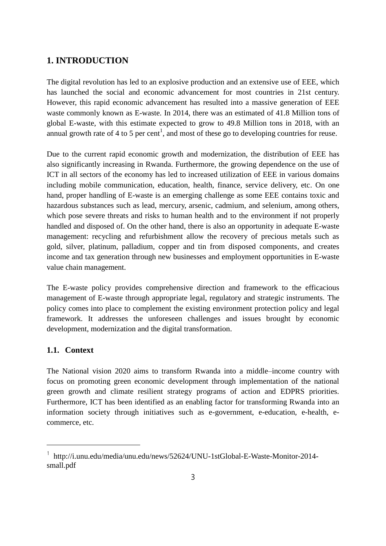## **1. INTRODUCTION**

The digital revolution has led to an explosive production and an extensive use of EEE, which has launched the social and economic advancement for most countries in 21st century. However, this rapid economic advancement has resulted into a massive generation of EEE waste commonly known as E-waste. In 2014, there was an estimated of 41.8 Million tons of global E-waste, with this estimate expected to grow to 49.8 Million tons in 2018, with an annual growth rate of 4 to 5 per cent<sup>1</sup>, and most of these go to developing countries for reuse.

Due to the current rapid economic growth and modernization, the distribution of EEE has also significantly increasing in Rwanda. Furthermore, the growing dependence on the use of ICT in all sectors of the economy has led to increased utilization of EEE in various domains including mobile communication, education, health, finance, service delivery, etc. On one hand, proper handling of E-waste is an emerging challenge as some EEE contains toxic and hazardous substances such as lead, mercury, arsenic, cadmium, and selenium, among others, which pose severe threats and risks to human health and to the environment if not properly handled and disposed of. On the other hand, there is also an opportunity in adequate E-waste management: recycling and refurbishment allow the recovery of precious metals such as gold, silver, platinum, palladium, copper and tin from disposed components, and creates income and tax generation through new businesses and employment opportunities in E-waste value chain management.

The E-waste policy provides comprehensive direction and framework to the efficacious management of E-waste through appropriate legal, regulatory and strategic instruments. The policy comes into place to complement the existing environment protection policy and legal framework. It addresses the unforeseen challenges and issues brought by economic development, modernization and the digital transformation.

#### **1.1. Context**

 $\overline{a}$ 

The National vision 2020 aims to transform Rwanda into a middle–income country with focus on promoting green economic development through implementation of the national green growth and climate resilient strategy programs of action and EDPRS priorities. Furthermore, ICT has been identified as an enabling factor for transforming Rwanda into an information society through initiatives such as e-government, e-education, e-health, ecommerce, etc.

<sup>&</sup>lt;sup>1</sup> http://i.unu.edu/media/unu.edu/news/52624/UNU-1stGlobal-E-Waste-Monitor-2014small.pdf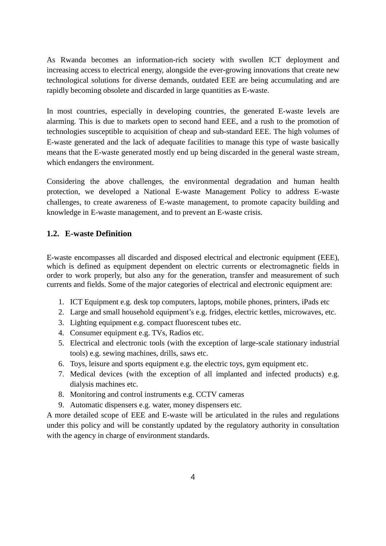As Rwanda becomes an information-rich society with swollen ICT deployment and increasing access to electrical energy, alongside the ever-growing innovations that create new technological solutions for diverse demands, outdated EEE are being accumulating and are rapidly becoming obsolete and discarded in large quantities as E-waste.

In most countries, especially in developing countries, the generated E-waste levels are alarming. This is due to markets open to second hand EEE, and a rush to the promotion of technologies susceptible to acquisition of cheap and sub-standard EEE. The high volumes of E-waste generated and the lack of adequate facilities to manage this type of waste basically means that the E-waste generated mostly end up being discarded in the general waste stream, which endangers the environment.

Considering the above challenges, the environmental degradation and human health protection, we developed a National E-waste Management Policy to address E-waste challenges, to create awareness of E-waste management, to promote capacity building and knowledge in E-waste management, and to prevent an E-waste crisis.

## **1.2. E-waste Definition**

E-waste encompasses all discarded and disposed electrical and electronic equipment (EEE), which is defined as equipment dependent on electric currents or electromagnetic fields in order to work properly, but also any for the generation, transfer and measurement of such currents and fields. Some of the major categories of electrical and electronic equipment are:

- 1. ICT Equipment e.g. desk top computers, laptops, mobile phones, printers, iPads etc
- 2. Large and small household equipment's e.g. fridges, electric kettles, microwaves, etc.
- 3. Lighting equipment e.g. compact fluorescent tubes etc.
- 4. Consumer equipment e.g. TVs, Radios etc.
- 5. Electrical and electronic tools (with the exception of large-scale stationary industrial tools) e.g. sewing machines, drills, saws etc.
- 6. Toys, leisure and sports equipment e.g. the electric toys, gym equipment etc.
- 7. Medical devices (with the exception of all implanted and infected products) e.g. dialysis machines etc.
- 8. Monitoring and control instruments e.g. CCTV cameras
- 9. Automatic dispensers e.g. water, money dispensers etc.

A more detailed scope of EEE and E-waste will be articulated in the rules and regulations under this policy and will be constantly updated by the regulatory authority in consultation with the agency in charge of environment standards.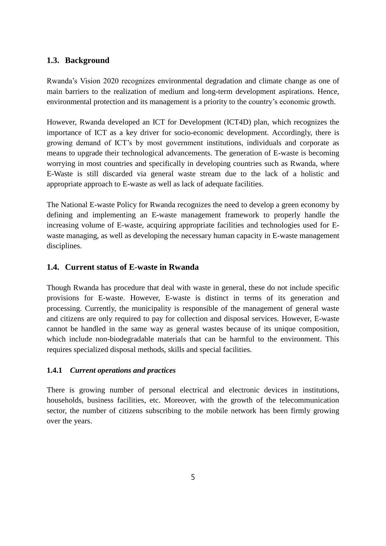## **1.3. Background**

Rwanda's Vision 2020 recognizes environmental degradation and climate change as one of main barriers to the realization of medium and long-term development aspirations. Hence, environmental protection and its management is a priority to the country's economic growth.

However, Rwanda developed an ICT for Development (ICT4D) plan, which recognizes the importance of ICT as a key driver for socio-economic development. Accordingly, there is growing demand of ICT's by most government institutions, individuals and corporate as means to upgrade their technological advancements. The generation of E-waste is becoming worrying in most countries and specifically in developing countries such as Rwanda, where E-Waste is still discarded via general waste stream due to the lack of a holistic and appropriate approach to E-waste as well as lack of adequate facilities.

The National E-waste Policy for Rwanda recognizes the need to develop a green economy by defining and implementing an E-waste management framework to properly handle the increasing volume of E-waste, acquiring appropriate facilities and technologies used for Ewaste managing, as well as developing the necessary human capacity in E-waste management disciplines.

## **1.4. Current status of E-waste in Rwanda**

Though Rwanda has procedure that deal with waste in general, these do not include specific provisions for E-waste. However, E-waste is distinct in terms of its generation and processing. Currently, the municipality is responsible of the management of general waste and citizens are only required to pay for collection and disposal services. However, E-waste cannot be handled in the same way as general wastes because of its unique composition, which include non-biodegradable materials that can be harmful to the environment. This requires specialized disposal methods, skills and special facilities.

#### **1.4.1** *Current operations and practices*

There is growing number of personal electrical and electronic devices in institutions, households, business facilities, etc. Moreover, with the growth of the telecommunication sector, the number of citizens subscribing to the mobile network has been firmly growing over the years.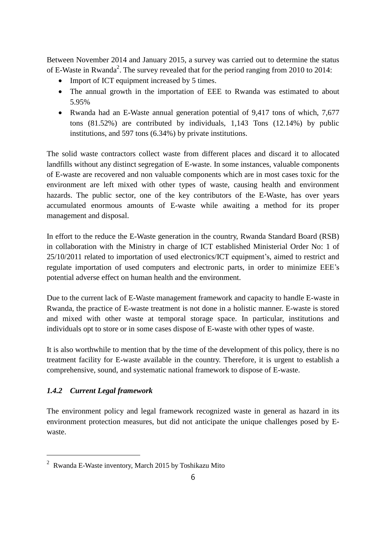Between November 2014 and January 2015, a survey was carried out to determine the status of E-Waste in Rwanda<sup>2</sup>. The survey revealed that for the period ranging from 2010 to 2014:

- Import of ICT equipment increased by 5 times.
- The annual growth in the importation of EEE to Rwanda was estimated to about 5.95%
- Rwanda had an E-Waste annual generation potential of 9,417 tons of which, 7,677 tons (81.52%) are contributed by individuals, 1,143 Tons (12.14%) by public institutions, and 597 tons (6.34%) by private institutions.

The solid waste contractors collect waste from different places and discard it to allocated landfills without any distinct segregation of E-waste. In some instances, valuable components of E-waste are recovered and non valuable components which are in most cases toxic for the environment are left mixed with other types of waste, causing health and environment hazards. The public sector, one of the key contributors of the E-Waste, has over years accumulated enormous amounts of E-waste while awaiting a method for its proper management and disposal.

In effort to the reduce the E-Waste generation in the country, Rwanda Standard Board (RSB) in collaboration with the Ministry in charge of ICT established Ministerial Order No: 1 of 25/10/2011 related to importation of used electronics/ICT equipment's, aimed to restrict and regulate importation of used computers and electronic parts, in order to minimize EEE's potential adverse effect on human health and the environment.

Due to the current lack of E-Waste management framework and capacity to handle E-waste in Rwanda, the practice of E-waste treatment is not done in a holistic manner. E-waste is stored and mixed with other waste at temporal storage space. In particular, institutions and individuals opt to store or in some cases dispose of E-waste with other types of waste.

It is also worthwhile to mention that by the time of the development of this policy, there is no treatment facility for E-waste available in the country. Therefore, it is urgent to establish a comprehensive, sound, and systematic national framework to dispose of E-waste.

## *1.4.2 Current Legal framework*

 $\overline{a}$ 

The environment policy and legal framework recognized waste in general as hazard in its environment protection measures, but did not anticipate the unique challenges posed by Ewaste.

<sup>2</sup> Rwanda E-Waste inventory, March 2015 by Toshikazu Mito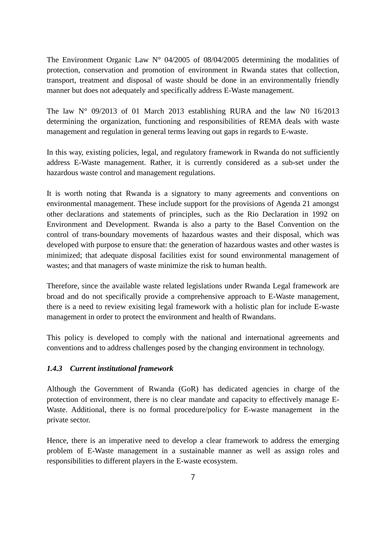The Environment Organic Law  $N^{\circ}$  04/2005 of 08/04/2005 determining the modalities of protection, conservation and promotion of environment in Rwanda states that collection, transport, treatment and disposal of waste should be done in an environmentally friendly manner but does not adequately and specifically address E-Waste management.

The law  $N^{\circ}$  09/2013 of 01 March 2013 establishing RURA and the law N0 16/2013 determining the organization, functioning and responsibilities of REMA deals with waste management and regulation in general terms leaving out gaps in regards to E-waste.

In this way, existing policies, legal, and regulatory framework in Rwanda do not sufficiently address E-Waste management. Rather, it is currently considered as a sub-set under the hazardous waste control and management regulations.

It is worth noting that Rwanda is a signatory to many agreements and conventions on environmental management. These include support for the provisions of Agenda 21 amongst other declarations and statements of principles, such as the Rio Declaration in 1992 on Environment and Development. Rwanda is also a party to the Basel Convention on the control of trans-boundary movements of hazardous wastes and their disposal, which was developed with purpose to ensure that: the generation of hazardous wastes and other wastes is minimized; that adequate disposal facilities exist for sound environmental management of wastes; and that managers of waste minimize the risk to human health.

Therefore, since the available waste related legislations under Rwanda Legal framework are broad and do not specifically provide a comprehensive approach to E-Waste management, there is a need to review exisiting legal framework with a holistic plan for include E-waste management in order to protect the environment and health of Rwandans.

This policy is developed to comply with the national and international agreements and conventions and to address challenges posed by the changing environment in technology.

#### *1.4.3 Current institutional framework*

Although the Government of Rwanda (GoR) has dedicated agencies in charge of the protection of environment, there is no clear mandate and capacity to effectively manage E-Waste. Additional, there is no formal procedure/policy for E-waste management in the private sector.

Hence, there is an imperative need to develop a clear framework to address the emerging problem of E-Waste management in a sustainable manner as well as assign roles and responsibilities to different players in the E-waste ecosystem.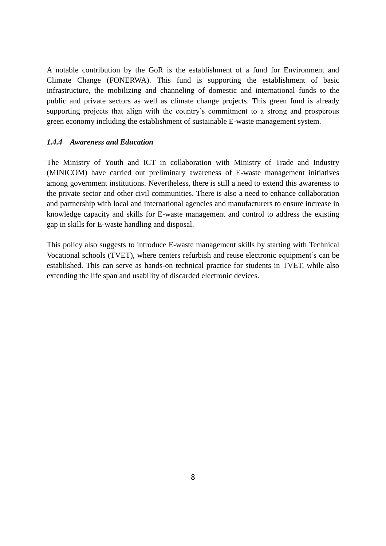A notable contribution by the GoR is the establishment of a fund for Environment and Climate Change (FONERWA). This fund is supporting the establishment of basic infrastructure, the mobilizing and channeling of domestic and international funds to the public and private sectors as well as climate change projects. This green fund is already supporting projects that align with the country's commitment to a strong and prosperous green economy including the establishment of sustainable E-waste management system.

#### *1.4.4 Awareness and Education*

The Ministry of Youth and ICT in collaboration with Ministry of Trade and Industry (MINICOM) have carried out preliminary awareness of E-waste management initiatives among government institutions. Nevertheless, there is still a need to extend this awareness to the private sector and other civil communities. There is also a need to enhance collaboration and partnership with local and international agencies and manufacturers to ensure increase in knowledge capacity and skills for E-waste management and control to address the existing gap in skills for E-waste handling and disposal.

This policy also suggests to introduce E-waste management skills by starting with Technical Vocational schools (TVET), where centers refurbish and reuse electronic equipment's can be established. This can serve as hands-on technical practice for students in TVET, while also extending the life span and usability of discarded electronic devices.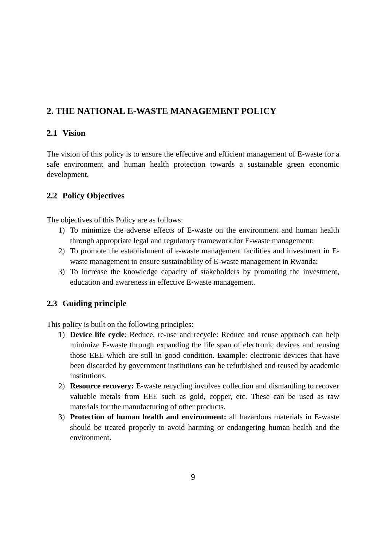## **2. THE NATIONAL E-WASTE MANAGEMENT POLICY**

## **2.1 Vision**

The vision of this policy is to ensure the effective and efficient management of E-waste for a safe environment and human health protection towards a sustainable green economic development.

## **2.2 Policy Objectives**

The objectives of this Policy are as follows:

- 1) To minimize the adverse effects of E‐waste on the environment and human health through appropriate legal and regulatory framework for E-waste management;
- 2) To promote the establishment of e-waste management facilities and investment in E‐ waste management to ensure sustainability of E-waste management in Rwanda;
- 3) To increase the knowledge capacity of stakeholders by promoting the investment, education and awareness in effective E‐waste management.

## **2.3 Guiding principle**

This policy is built on the following principles:

- 1) **Device life cycle**: Reduce, re-use and recycle: Reduce and reuse approach can help minimize E-waste through expanding the life span of electronic devices and reusing those EEE which are still in good condition. Example: electronic devices that have been discarded by government institutions can be refurbished and reused by academic institutions.
- 2) **Resource recovery:** E-waste recycling involves collection and dismantling to recover valuable metals from EEE such as gold, copper, etc. These can be used as raw materials for the manufacturing of other products.
- 3) **Protection of human health and environment:** all hazardous materials in E-waste should be treated properly to avoid harming or endangering human health and the environment.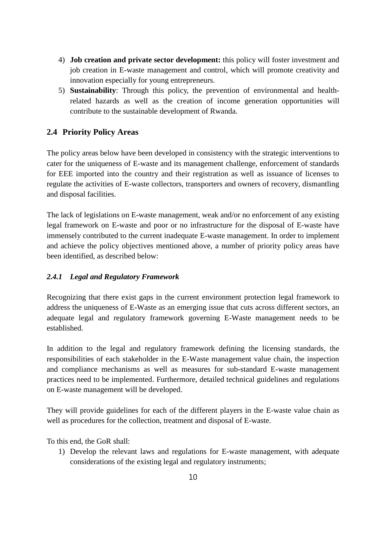- 4) **Job creation and private sector development:** this policy will foster investment and job creation in E-waste management and control, which will promote creativity and innovation especially for young entrepreneurs.
- 5) **Sustainability**: Through this policy, the prevention of environmental and healthrelated hazards as well as the creation of income generation opportunities will contribute to the sustainable development of Rwanda.

## **2.4 Priority Policy Areas**

The policy areas below have been developed in consistency with the strategic interventions to cater for the uniqueness of E-waste and its management challenge, enforcement of standards for EEE imported into the country and their registration as well as issuance of licenses to regulate the activities of E-waste collectors, transporters and owners of recovery, dismantling and disposal facilities.

The lack of legislations on E-waste management, weak and/or no enforcement of any existing legal framework on E-waste and poor or no infrastructure for the disposal of E-waste have immensely contributed to the current inadequate E-waste management. In order to implement and achieve the policy objectives mentioned above, a number of priority policy areas have been identified, as described below:

## *2.4.1 Legal and Regulatory Framework*

Recognizing that there exist gaps in the current environment protection legal framework to address the uniqueness of E-Waste as an emerging issue that cuts across different sectors, an adequate legal and regulatory framework governing E-Waste management needs to be established.

In addition to the legal and regulatory framework defining the licensing standards, the responsibilities of each stakeholder in the E-Waste management value chain, the inspection and compliance mechanisms as well as measures for sub-standard E-waste management practices need to be implemented. Furthermore, detailed technical guidelines and regulations on E-waste management will be developed.

They will provide guidelines for each of the different players in the E-waste value chain as well as procedures for the collection, treatment and disposal of E-waste.

To this end, the GoR shall:

1) Develop the relevant laws and regulations for E-waste management, with adequate considerations of the existing legal and regulatory instruments;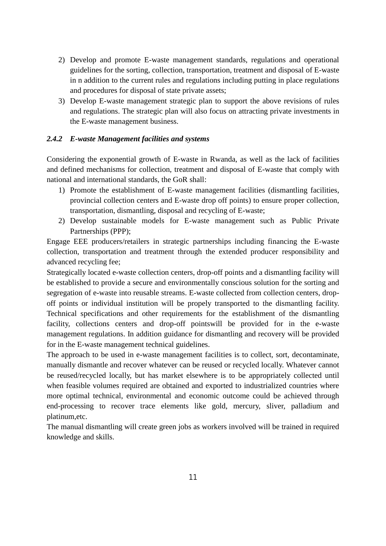- 2) Develop and promote E-waste management standards, regulations and operational guidelines for the sorting, collection, transportation, treatment and disposal of E-waste in n addition to the current rules and regulations including putting in place regulations and procedures for disposal of state private assets;
- 3) Develop E-waste management strategic plan to support the above revisions of rules and regulations. The strategic plan will also focus on attracting private investments in the E-waste management business.

#### *2.4.2 E-waste Management facilities and systems*

Considering the exponential growth of E-waste in Rwanda, as well as the lack of facilities and defined mechanisms for collection, treatment and disposal of E-waste that comply with national and international standards, the GoR shall:

- 1) Promote the establishment of E-waste management facilities (dismantling facilities, provincial collection centers and E-waste drop off points) to ensure proper collection, transportation, dismantling, disposal and recycling of E-waste;
- 2) Develop sustainable models for E-waste management such as Public Private Partnerships (PPP);

Engage EEE producers/retailers in strategic partnerships including financing the E-waste collection, transportation and treatment through the extended producer responsibility and advanced recycling fee;

Strategically located e-waste collection centers, drop-off points and a dismantling facility will be established to provide a secure and environmentally conscious solution for the sorting and segregation of e-waste into reusable streams. E-waste collected from collection centers, dropoff points or individual institution will be propely transported to the dismantling facility. Technical specifications and other requirements for the establishment of the dismantling facility, collections centers and drop-off pointswill be provided for in the e-waste management regulations. In addition guidance for dismantling and recovery will be provided for in the E-waste management technical guidelines.

The approach to be used in e-waste management facilities is to collect, sort, decontaminate, manually dismantle and recover whatever can be reused or recycled locally. Whatever cannot be reused/recycled locally, but has market elsewhere is to be appropriately collected until when feasible volumes required are obtained and exported to industrialized countries where more optimal technical, environmental and economic outcome could be achieved through end-processing to recover trace elements like gold, mercury, sliver, palladium and platinum,etc.

The manual dismantling will create green jobs as workers involved will be trained in required knowledge and skills.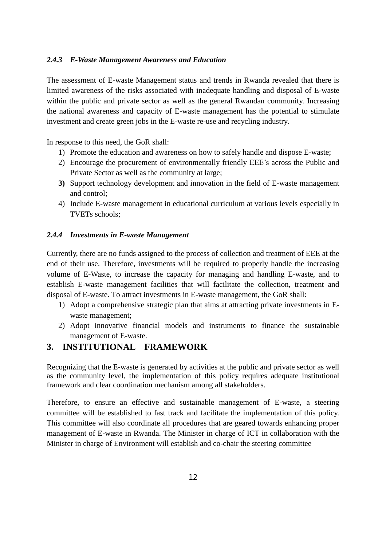#### *2.4.3 E-Waste Management Awareness and Education*

The assessment of E-waste Management status and trends in Rwanda revealed that there is limited awareness of the risks associated with inadequate handling and disposal of E-waste within the public and private sector as well as the general Rwandan community. Increasing the national awareness and capacity of E-waste management has the potential to stimulate investment and create green jobs in the E-waste re-use and recycling industry.

In response to this need, the GoR shall:

- 1) Promote the education and awareness on how to safely handle and dispose E-waste;
- 2) Encourage the procurement of environmentally friendly EEE's across the Public and Private Sector as well as the community at large;
- **3)** Support technology development and innovation in the field of E-waste management and control;
- 4) Include E-waste management in educational curriculum at various levels especially in TVETs schools;

#### *2.4.4 Investments in E-waste Management*

Currently, there are no funds assigned to the process of collection and treatment of EEE at the end of their use. Therefore, investments will be required to properly handle the increasing volume of E-Waste, to increase the capacity for managing and handling E-waste, and to establish E-waste management facilities that will facilitate the collection, treatment and disposal of E-waste. To attract investments in E-waste management, the GoR shall:

- 1) Adopt a comprehensive strategic plan that aims at attracting private investments in Ewaste management;
- 2) Adopt innovative financial models and instruments to finance the sustainable management of E-waste.

## **3. INSTITUTIONAL FRAMEWORK**

Recognizing that the E-waste is generated by activities at the public and private sector as well as the community level, the implementation of this policy requires adequate institutional framework and clear coordination mechanism among all stakeholders.

Therefore, to ensure an effective and sustainable management of E-waste, a steering committee will be established to fast track and facilitate the implementation of this policy. This committee will also coordinate all procedures that are geared towards enhancing proper management of E-waste in Rwanda. The Minister in charge of ICT in collaboration with the Minister in charge of Environment will establish and co-chair the steering committee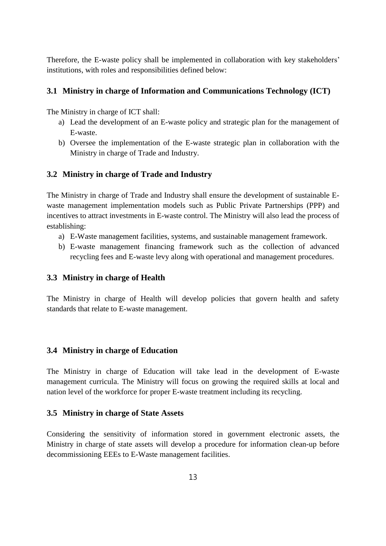Therefore, the E-waste policy shall be implemented in collaboration with key stakeholders' institutions, with roles and responsibilities defined below:

#### **3.1 Ministry in charge of Information and Communications Technology (ICT)**

The Ministry in charge of ICT shall:

- a) Lead the development of an E-waste policy and strategic plan for the management of E-waste.
- b) Oversee the implementation of the E-waste strategic plan in collaboration with the Ministry in charge of Trade and Industry.

#### **3.2 Ministry in charge of Trade and Industry**

The Ministry in charge of Trade and Industry shall ensure the development of sustainable Ewaste management implementation models such as Public Private Partnerships (PPP) and incentives to attract investments in E-waste control. The Ministry will also lead the process of establishing:

- a) E-Waste management facilities, systems, and sustainable management framework.
- b) E-waste management financing framework such as the collection of advanced recycling fees and E-waste levy along with operational and management procedures.

#### **3.3 Ministry in charge of Health**

The Ministry in charge of Health will develop policies that govern health and safety standards that relate to E-waste management.

#### **3.4 Ministry in charge of Education**

The Ministry in charge of Education will take lead in the development of E-waste management curricula. The Ministry will focus on growing the required skills at local and nation level of the workforce for proper E-waste treatment including its recycling.

#### **3.5 Ministry in charge of State Assets**

Considering the sensitivity of information stored in government electronic assets, the Ministry in charge of state assets will develop a procedure for information clean-up before decommissioning EEEs to E-Waste management facilities.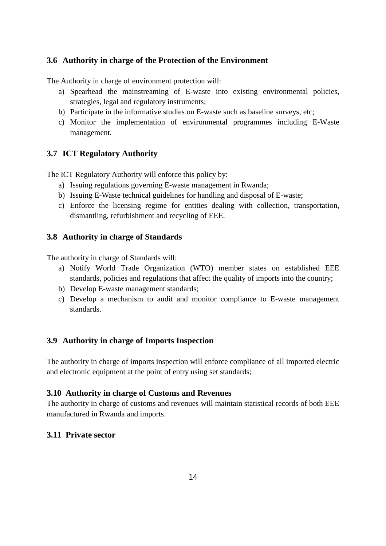## **3.6 Authority in charge of the Protection of the Environment**

The Authority in charge of environment protection will:

- a) Spearhead the mainstreaming of E-waste into existing environmental policies, strategies, legal and regulatory instruments;
- b) Participate in the informative studies on E-waste such as baseline surveys, etc;
- c) Monitor the implementation of environmental programmes including E-Waste management.

## **3.7 ICT Regulatory Authority**

The ICT Regulatory Authority will enforce this policy by:

- a) Issuing regulations governing E-waste management in Rwanda;
- b) Issuing E-Waste technical guidelines for handling and disposal of E-waste;
- c) Enforce the licensing regime for entities dealing with collection, transportation, dismantling, refurbishment and recycling of EEE.

#### **3.8 Authority in charge of Standards**

The authority in charge of Standards will:

- a) Notify World Trade Organization (WTO) member states on established EEE standards, policies and regulations that affect the quality of imports into the country;
- b) Develop E-waste management standards;
- c) Develop a mechanism to audit and monitor compliance to E-waste management standards.

## **3.9 Authority in charge of Imports Inspection**

The authority in charge of imports inspection will enforce compliance of all imported electric and electronic equipment at the point of entry using set standards;

#### **3.10 Authority in charge of Customs and Revenues**

The authority in charge of customs and revenues will maintain statistical records of both EEE manufactured in Rwanda and imports.

#### **3.11 Private sector**